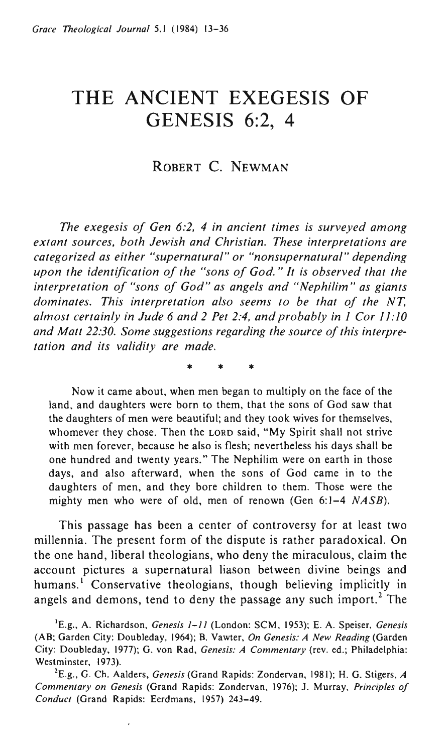# **THE ANCIENT EXEGESIS OF GENESIS** 6:2, 4

# ROBERT C. NEWMAN

*The exegesis oj Gen* 6:2, 4 *in ancient times is surveyed among extant sources, both Jewish and Christian. These interpretations are categorized as either "supernatural" or "nonsupernatural" depending upon the identification oj the "sons oj God.* " *It is observed that the interpretation oj "sons oj God" as angels and "Nephilim" as giants dominates. This interpretation also seems to be that oj the NT, almost certainly in Jude* 6 *and* 2 *Pet* 2:4, *and probably in* 1 *Cor 11:10 and Matt 22:30. Some suggestions regarding the source oj this interpretation and its validity are made.* 

\* \* \*

Now it came about, when men began to multiply on the face of the land, and daughters were born to them, that the sons of God saw that the daughters of men were beautiful; and they took wives for themselves, whomever they chose. Then the LORD said, "My Spirit shall not strive with men forever, because he also is flesh; nevertheless his days shall be one hundred and twenty years." The Nephilim were on earth in those days, and also afterward, when the sons of God came in to the daughters of men, and they bore children to them. Those were the mighty men who were of old, men of renown (Gen 6:1-4 NASB).

This passage has been a center of controversy for at least two millennia. The present form of the dispute is rather paradoxical. On the one hand, liberal theologians, who deny the miraculous, claim the account pictures a supernatural liason between divine beings and humans.<sup>1</sup> Conservative theologians, though believing implicitly in angels and demons, tend to deny the passage any such import.<sup>2</sup> The

IE.g., A. Richardson, *Genesis* 1-11 (London: SCM, 1953); E. A. Speiser, *Genesis*  (AB; Garden City: Doubleday, 1964); B. Vawter, *On Genesis: A New Reading* (Garden City: Doubleday, 1977); G. von Rad, *Genesis: A Commentary* (rev. ed.; Philadelphia: Westminster, 1973).

2E.g., G. Ch. Aalders, *Genesis* (Grand Rapids: Zondervan, 1981); H. G. Stigers, *A Commentary on Genesis* (Grand Rapids: Zondervan, 1976); J. Murray, *Principles of Conduct* (Grand Rapids: Eerdmans, 1957) 243-49.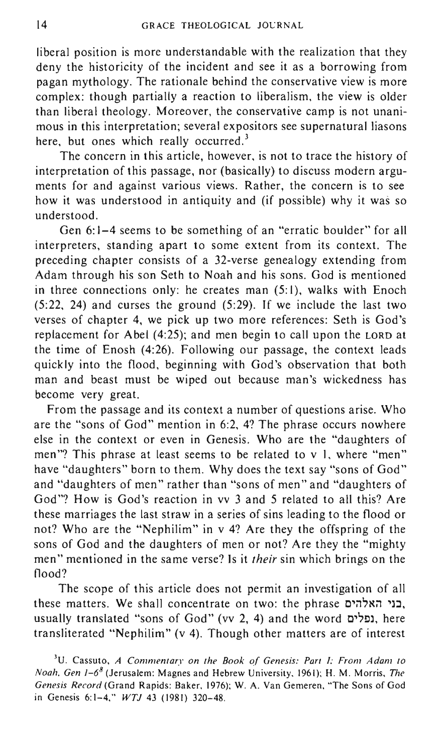liberal position is more understandable with the realization that they deny the historicity of the incident and see it as a borrowing from pagan mythology. The rationale behind the conservative view is more complex: though partially a reaction to liberalism, the view is older than liberal theology. Moreover, the conservative camp is not unanimous in this interpretation; several expositors see supernatural liasons here, but ones which really occurred.<sup>3</sup>

The concern in this article, however, is not to trace the history of interpretation of this passage, nor (basically) to discuss modern arguments for and against various views. Rather, the concern is to see how it was understood in antiquity and (if possible) why it was so understood.

Gen 6:1-4 seems to be something of an "erratic boulder" for all interpreters, standing apart to some extent from its context. The preceding chapter consists of a 32-verse genealogy extending from Adam through his son Seth to Noah and his sons. God is mentioned in three connections only: he creates man  $(5:1)$ , walks with Enoch (5:22, 24) and curses the ground (5:29). If we include the last two verses of chapter 4, we pick up two more references: Seth is God's replacement for Abel (4:25); and men begin to call upon the LORD at the time of Enosh (4:26). Following our passage, the context leads quickly into the flood, beginning with God's observation that both man and beast must be wiped out because man's wickedness has become very great.

From the passage and its context a number of questions arise. Who are the "sons of God" mention in 6:2, 4? The phrase occurs nowhere else in the context or even in Genesis. Who are the "daughters of men"? This phrase at least seems to be related to v 1, where "men" have "daughters" born to them. Why does the text say "sons of God" and "daughters of men" rather than "sons of men" and "daughters of God"? How is God's reaction in vv 3 and 5 related to all this? Are these marriages the last straw in a series of sins leading to the flood or not? Who are the "Nephilim" in v 4? Are they the offspring of the sons of God and the daughters of men or not? Are they the "mighty men" mentioned in the same verse? Is it *their* sin which brings on the flood?

The scope of this article does not permit an investigation of all these matters. We shall concentrate on two: the phrase בני האלהים, usually translated "sons of God" (vv 2, 4) and the word נפלים, here transliterated "Nephilim" (v 4). Though other matters are of interest

<sup>3</sup>U. Cassuto, *A Commentary on the Book oj Genesis: Part I: From Adam to Noah. Gen* 1-68 (Jerusalem: Magnes and Hebrew University, 1961); H. M. Morris, *The Genesis Record* (Grand Rapids: Baker, 1976); W. A. Van Gemeren, "The Sons of God in Genesis 6:1-4," *WTJ* 43 (1981) 320-48.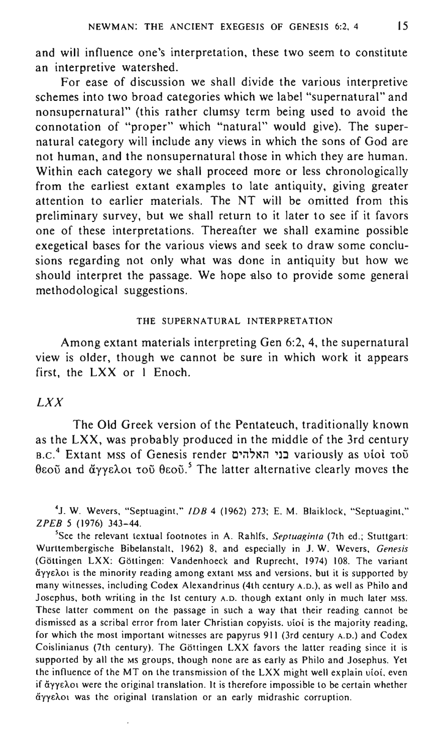and will influence one's interpretation, these two seem to constitute an interpretive watershed.

For ease of discussion we shall divide the various interpretive schemes into two broad categories which we label "supernatural" and nonsupernatural" (this rather clumsy term being used to avoid the connotation of "proper" which "natural" would give). The supernatural category will include any views in which the sons of God are not human, and the nonsupernatural those in which they are human. Within each category we shall proceed more or less chronologically from the earliest extant examples to late antiquity, giving greater attention to earlier materials. The NT will be omitted from this preliminary survey, but we shall return to it later to see if it favors one of these interpretations. Thereafter we shall examine possible exegetical bases for the various views and seek to draw some conclusions regarding not only what was done in antiquity but how we should interpret the passage. We hope also to provide some general methodological suggestions.

# THE SUPERNATURAL INTERPRETATION

Among extant materials interpreting Gen 6:2, 4, the supernatural view is older, though we cannot be sure in which work it appears first, the LXX or I Enoch.

# *LXX*

The Old Greek version of the Pentateuch, traditionally known as the LXX, was probably produced in the middle of the 3rd century B.C.<sup>4</sup> Extant MSS of Genesis render בני האלהים variously as viol tou θεοῦ and ἄγγελοι τοῦ θεοῦ. "The latter alternative clearly moves the

4J. W. Wevers, "Septuagint," *IDB* 4 (1962) 273; E. M. Blaiklock, "Septuagint," *ZPEB* 5 (1976) 343-44.

5See the relevant textual footnotes in A. Rahlfs, *Septuaginta* (7th ed.; Stuttgart: Wurttembergische Bibelanstalt, 1962) 8, and especially in J. W. Wevers, *Genesis*  (Göttingen LXX: Göttingen: Vandenhoeck and Ruprecht, 1974) 108. The variant aYYEAOt is the minority reading among extant MSS and versions, but it is supported by many witnesses, including Codex Alexandrinus (4th century A.D.), as well as Philo and Josephus, both writing in the 1st century A.D. though extant only in much later MSS. These latter comment on the passage in such a way that their reading cannot be dismissed as a scribal error from later Christian copyists. viol is the majority reading, for which the most important witnesses are papyrus 911 (3rd century A.D.) and Codex Coislinianus (7th century). The Gottingen LXX favors the latter reading since it is supported by all the MS groups, though none are as early as Philo and Josephus. Yet the influence of the MT on the transmission of the LXX might well explain uiol, even if aYYEAOt were the original translation. It is therefore impossible to be certain whether άγγελοι was the original translation or an early midrashic corruption.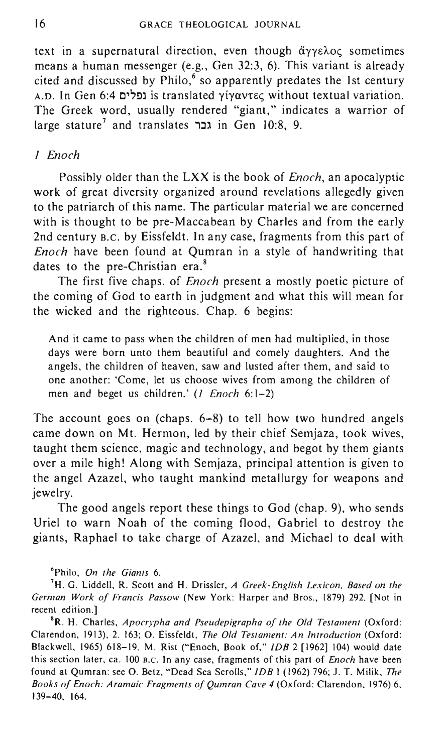text in a supernatural direction, even though  $\tilde{\alpha}$ yye $\lambda$ oc sometimes means a human messenger (e.g., Gen 32:3, 6). This variant is already cited and discussed by  $Philo$ ,  $6$  so apparently predates the 1st century A.D. In Gen 6:4 ιατίση is translated γίγαντες without textual variation. The Greek word, usually rendered "giant," indicates a warrior of large stature<sup>7</sup> and translates in Gen 10:8, 9.

# J *Enoch*

Possibly older than the LXX is the book of *Enoch,* an apocalyptic work of great diversity organized around revelations allegedly given to the patriarch of this name. The particular material we are concerned with is thought to be pre-Maccabean by Charles and from the early 2nd century B.C. by Eissfeldt. In any case, fragments from this part of *Enoch* have been found at Qumran in a style of handwriting that dates to the pre-Christian era.<sup>8</sup>

The first five chaps. of *Enoch* present a mostly poetic picture of the coming of God to earth in judgment and what this will mean for the wicked and the righteous. Chap. 6 begins:

And it came to pass when the children of men had multiplied, in those days were born unto them beautiful and comely daughters. And the angels, the children of heaven, saw and lusted after them, and said to one another: 'Come, let us choose wives from among the children of men and beget us children.' (1 *Enoch* 6: 1-2)

The account goes on (chaps. 6-8) to tell how two hundred angels came down on Mt. Hermon, led by their chief Semjaza, took wives, taught them science, magic and technology, and begot by them giants over a mile high! Along with Semjaza, principal attention is given to the angel Azazel, who taught mankind metallurgy for weapons and jewelry.

The good angels report these things to God (chap. 9), who sends Uriel to warn Noah of the coming flood, Gabriel to destroy the giants, Raphael to take charge of Azazel, and Michael to deal with

6Philo, *On the Giants 6.* 

7H. G. Liddell, R. Scott and H. Drissler, *A Greek-English Lexicon. Based on the German Work oj Francis Passow* (New York: Harper and Bros., 1879) 292. [Not in recent edition.]

<sup>8</sup>R. H. Charles, *Apocrypha and Pseudepigrapha of the Old Testament* (Oxford: Clarendon, 1913), 2. 163; O. Eissfeldt, *The Old Testament: An Introduction* (Oxford: Blackwell, 1965) 618-19. M. Rist ("Enoch, Book of," *IDB* 2 [1962] 104) would date this section later, ca. 100 B.C. In any case, fragments of this part of *Enoch* have been found at Qumran: see O. Betz, "Dead Sea ScroUs," *IDB* 1(1962) 796; J. T. Milik, *The Books oj Enoch: Aramaic Fragments oj Qumran Cave* 4 (Oxford: Clarendon, 1976) 6, 139-40, 164.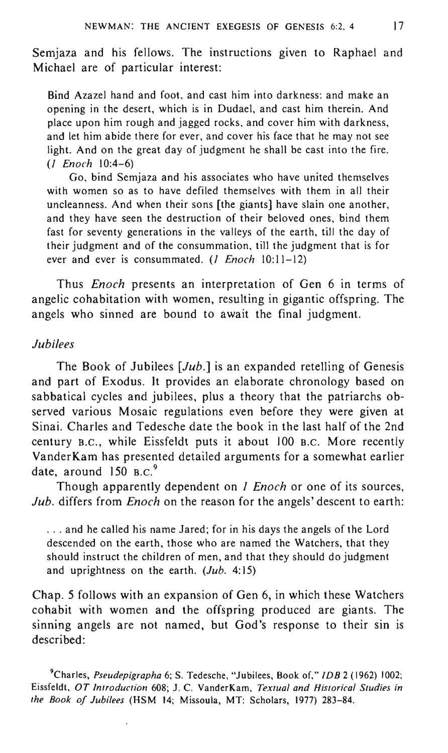Semjaza and his fellows. The instructions given to Raphael and Michael are of particular interest:

Bind Azazel hand and foot, and cast him into darkness: and make an opening in the desert, which is in Dudael, and cast him therein. And place upon him rough and jagged rocks, and cover him with darkness, and let him abide there for ever, and cover his face that he may not see light. And on the great day of judgment he shall be cast into the fire. (1 *Enoch 10:4-6)* 

Go, bind Semjaza and his associates who have united themselves with women so as to have defiled themselves with them in all their uncleanness. And when their sons [the giants] have slain one another, and they have seen the destruction of their beloved ones, bind them fast for seventy generations in the valleys of the earth, till the day of their judgment and of the consummation, till the judgment that is for ever and ever is consummated. (*I Enoch* 10:11-12)

Thus *Enoch* presents an interpretation of Gen 6 in terms of angelic cohabitation with women, resulting in gigantic offspring. The angels who sinned are bound to await the final judgment.

### *Jubilees*

The Book of Jubilees *[Jub.]* is an expanded retelling of Genesis and part of Exodus. It provides an elaborate chronology based on sabbatical cycles and jubilees, plus a theory that the patriarchs observed various Mosaic regulations even before they were given at Sinai. Charles and Tedesche date the book in the last half of the 2nd century B.C., while Eissfeldt puts it about 100 B.C. More recently VanderKam has presented detailed arguments for a somewhat earlier date, around  $150$  B.C.<sup>9</sup>

Though apparently dependent on *1 Enoch* or one of its sources, *Jub.* differs from *Enoch* on the reason for the angels' descent to earth:

... and he called his name Jared; for in his days the angels of the Lord descended on the earth, those who are named the Watchers, that they should instruct the children of men, and that they should do judgment and uprightness on the earth.  $(Jub. 4:15)$ 

Chap. 5 follows with an expansion of Gen 6, in which these Watchers cohabit with women and the offspring produced are giants. The sinning angels are not named, but God's response to their sin is described:

9Charles, *Pseudepigrapha* 6; S. Tedesche, "Jubilees, Book of," *IDB* 2 (1962) 1002; Eissfeldt, *OT Introduction* 608; J. C. VanderKam, *Textual and Historical Studies in the Book of Jubilees* (HSM 14; Missoula, MT: Scholars, 1977) 283-84.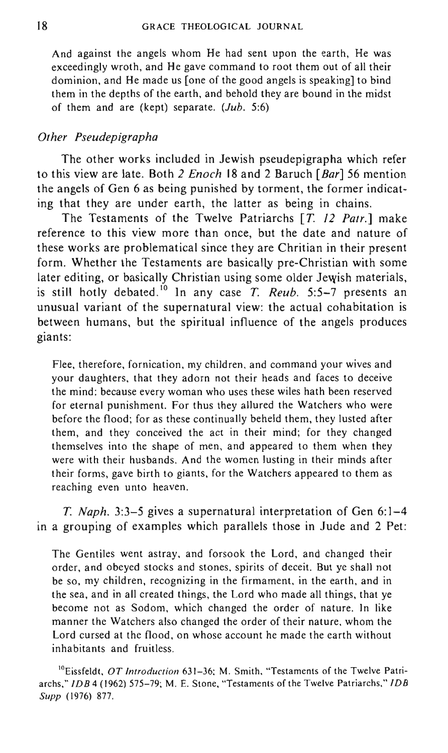And against the angels whom He had sent upon the earth, He was exceedingly wroth, and He gave command to root them out of all their dominion, and He made us [one of the good angels is speaking] to bind them in the depths of the earth, and behold they are bound in the midst of them and are (kept) separate.  $(Jub, 5:6)$ 

# *Other Pseudepigrapha*

The other works included in Jewish pseudepigrapha which refer to this view are late. Both 2 *Enoch* 18 and 2 Baruch *[Bar]* 56 mention the angels of Gen 6 as being punished by torment, the former indicating that they are under earth, the latter as being in chains.

The Testaments of the Twelve Patriarchs [T. 12 *Patr.]* make reference to this view more than once, but the date and nature of these works are problematical since they are Chritian in their present form. Whether the Testaments are basically pre-Christian with some later editing, or basically Christian using some older Jewish materials, is still hotly debated.<sup>10</sup> In any case  $T$ . *Reub.* 5:5-7 presents an unusual variant of the supernatural view: the actual cohabitation is between humans, but the spiritual influence of the angels produces giants:

Flee, therefore, fornication, my children, and command your wives and your daughters, that they adorn not their heads and faces to deceive the mind: because every woman who uses these wiles hath been reserved for eternal punishment. For thus they allured the Watchers who were before the flood; for as these continually beheld them, they lusted after them, and they conceived the act in their mind; for they changed themselves into the shape of men, and appeared to them when they were with their husbands. And the women lusting in their minds after their forms, gave birth to giants, for the Watchers appeared to them as reaching even unto heaven.

T. *Naph.* 3:3-5 gives a supernatural interpretation of Gen 6: 1-4 in a grouping of examples which parallels those in Jude and 2 Pet:

The Gentiles went astray, and forsook the Lord, and changed their order, and obeyed stocks and stones, spirits of deceit. But ye shall not be so, my children, recognizing in the firmament, in the earth, and in the sea, and in all created things, the Lord who made all things, that ye become not as Sodom, which changed the order of nature. In like manner the Watchers also changed the order of their nature, whom the Lord cursed at the flood, on whose account he made the earth without inhabitants and fruitless.

'OEissfeldt, *OT Introduction* 631-36; M. Smith, "Testaments of the Twelve Patriarchs," *IDB4* (1962) 575-79; M. E. Stone, "Testaments of the Twelve Patriarchs," *IDB Supp* (1976) 877.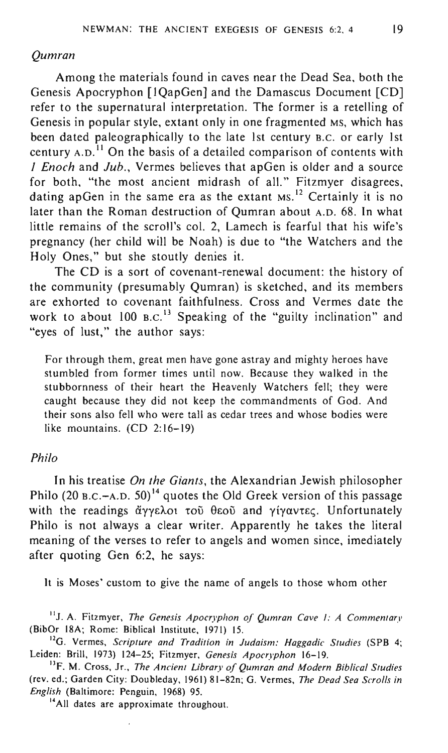#### *Qumran*

Among the materials found in caves near the Dead Sea, both the Genesis Apocryphon [lQapGen] and the Damascus Document [CD] refer to the supernatural interpretation. The former is a retelling of Genesis in popular style, extant only in one fragmented MS, which has been dated paleographically to the late 1st century B.C. or early 1st century  $A.D.<sup>11</sup>$  On the basis of a detailed comparison of contents with *1 Enoch* and *Jub.,* Vermes believes that apGen is older and a source for both, "the most ancient midrash of all." Fitzmyer disagrees, dating apGen in the same era as the extant Ms.<sup>12</sup> Certainly it is no later than the Roman destruction of Qumran about A.D. 68. **In** what little remains of the scroll's col. 2, Lamech is fearful that his wife's pregnancy (her child will be Noah) is due to "the Watchers and the Holy Ones," but she stoutly denies it.

The CD is a sort of covenant-renewal document: the history of the community (presumably Qumran) is sketched, and its members are exhorted to covenant faithfulness. Cross and Vermes date the work to about  $100$  B.C.<sup>13</sup> Speaking of the "guilty inclination" and "eyes of lust," the author says:

For through them, great men have gone astray and mighty heroes have stumbled from former times until now. Because they walked in the stubbornness of their heart the Heavenly Watchers fell; they were caught because they did not keep the commandments of God. And their sons also fell who were tall as cedar trees and whose bodies were like mountains. (CD 2:16-19)

## *Philo*

In his treatise *On the Giants*, the Alexandrian Jewish philosopher Philo (20 B.C.-A.D. 50)<sup>14</sup> quotes the Old Greek version of this passage with the readings άγγελοι τοῦ θεοῦ and γίγαντες. Unfortunately Philo is not always a clear writer. Apparently he takes the literal meaning of the verses to refer to angels and women since, imediately after quoting Gen 6:2, he says:

It is Moses' custom to give the name of angels to those whom other

IIJ. A. Fitzmyer, *The Genesis Apocryphon of Qumran Cave* 1: *A Commentary*  (BibOr 18A; Rome: Biblical Institute, 1971) 15.

<sup>12</sup>G. Vermes, *Scripture and Tradition in Judaism: Haggadic Studies* (SPB 4; Leiden: Brill, 1973) 124-25; Fitzmyer, *Genesis Apocryphon 16-19.* 

13F. M. Cross, Jr., *The Ancient Library of Qumran and Modern Biblical Studies*  (rev. ed.; Garden City: Doubleday, 1961) 81-82n; G. Vermes, *The Dead Sea Scrolls in English* (Baltimore: Penguin, 1968) 95.

14All dates are approximate throughout.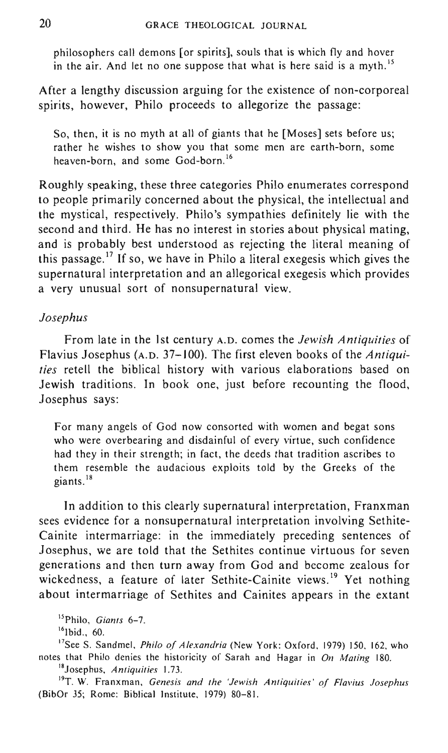philosophers call demons [or spirits], souls that is which fly and hover in the air. And let no one suppose that what is here said is a myth.<sup>15</sup>

After a lengthy discussion arguing for the existence of non-corporeal spirits, however, Philo proceeds to allegorize the passage:

So, then, it is no myth at all of giants that he [Moses] sets before us; rather he wishes to show you that some men are earth-born, some heaven-born, and some God-born. <sup>16</sup>

Roughly speaking, these three categories Philo enumerates correspond to people primarily concerned about the physical, the intellectual and the mystical, respectively. Philo's sympathies definitely lie with the second and third. He has no interest in stories about physical mating, and is probably best understood as rejecting the literal meaning of this passage.<sup>17</sup> If so, we have in Philo a literal exegesis which gives the supernatural interpretation and an allegorical exegesis which provides a very unusual sort of nonsupernatural view.

# *Josephus*

From late in the 1st century A.D. comes the *Jewish Antiquities* of Flavius Josephus (A.D. 37-100). The first eleven books of the *Antiquities* retell the biblical history with various elaborations based on Jewish traditions. In book one, just before recounting the flood, Josephus says:

For many angels of God now consorted with women and begat sons who were overbearing and disdainful of every virtue, such confidence had they in their strength; in fact, the deeds that tradition ascribes to them resemble the audacious exploits told by the Greeks of the giants.<sup>18</sup>

In addition to this clearly supernatural interpretation, Franxman sees evidence for a nonsupernatural interpretation involving Sethite-Cainite intermarriage: in the immediately preceding sentences of Josephus, we are told that the Sethites continue virtuous for seven generations and then turn away from God and become zealous for wickedness, a feature of later Sethite-Cainite views.<sup>19</sup> Yet nothing about intermarriage of Sethites and Cainites appears in the extant

15 Philo, *Giants 6-7.* 

 $16$ Ibid., 60.

<sup>17</sup>See S. Sandmel, *Philo of Alexandria* (New York: Oxford, 1979) 150, 162, who notes that Philo denies the historicity of Sarah and Hagar in *On Mating 180.*  18Josephus, *Antiquities 1.73.* 

19T. W. Franxman, *Genesis and the 'Jewish Antiquities' of Flavius Josephus*  (BibOr 35; Rome: Biblical Institute, 1979) 80-81.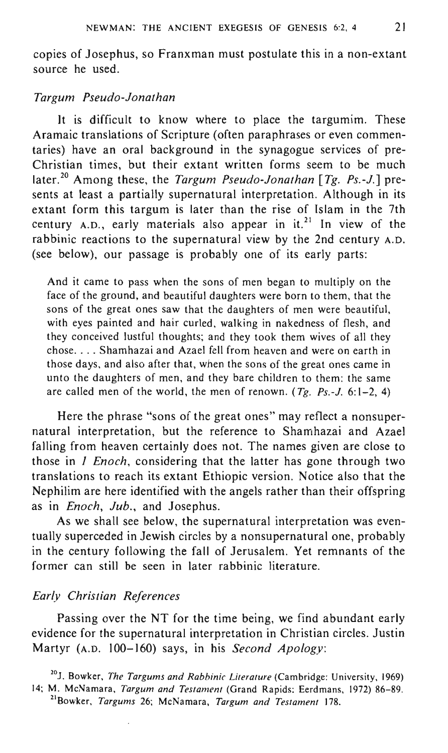copies of Josephus, so Franxman must postulate this in a non-extant source he used.

# *Targum Pseudo-Jonathan*

It is difficult to know where to place the targumim. These Aramaic translations of Scripture (often paraphrases or even commentaries) have an oral background in the synagogue services of pre-Christian times, but their extant written forms seem to be much later. 20 Among these, the *Targum Pseudo-Jonathan [Tg. Ps.-J.]* presents at least a partially supernatural interpretation. Although in its extant form this targum is later than the rise of Islam in the 7th century A.D., early materials also appear in it.<sup>21</sup> In view of the rabbinic reactions to the supernatural view by the 2nd century A.D. (see below), our passage is probably one of its early parts:

And it came to pass when the sons of men began to multiply on the face of the ground, and beautiful daughters were born to them, that the sons of the great ones saw that the daughters of men were beautiful, with eyes painted and hair curled, walking in nakedness of flesh, and they conceived lustful thoughts; and they took them wives of all they chose .... Shamhazai and Azael fell from heaven and were on earth in those days, and also after that, when the sons of the great ones came in unto the daughters of men, and they bare children to them: the same are called men of the world, the men of renown. *(Tg. Ps.-J.* 6: 1-2, 4)

Here the phrase "sons of the great ones" may reflect a nonsupernatural interpretation, but the reference to Shamhazai and Azael falling from heaven certainly does not. The names given are close to those in *1 Enoch,* considering that the latter has gone through two translations to reach its extant Ethiopic version. Notice also that the Nephilim are here identified with the angels rather than their offspring as in *Enoch, Jub.,* and Josephus.

As we shall see below, the supernatural interpretation was eventually superceded in Jewish circles by a nonsupernatural one, probably in the century following the fall of Jerusalem. Yet remnants of the former can still be seen in later rabbinic literature.

# *Early Christian References*

Passing over the NT for the time being, we find abundant early evidence for the supernatural interpretation in Christian circles. Justin Martyr (A.D. 100-160) says, in his *Second Apology:* 

2°1. Bowker, *The Targums and Rabbinic Literature* (Cambridge: University, 1969) 14; M. McNamara, *Targum and Testament* (Grand Rapids: Eerdmans, 1972) 86-89. 2lBowker, *Targums* 26; McNamara, *Targum and Testament 178.*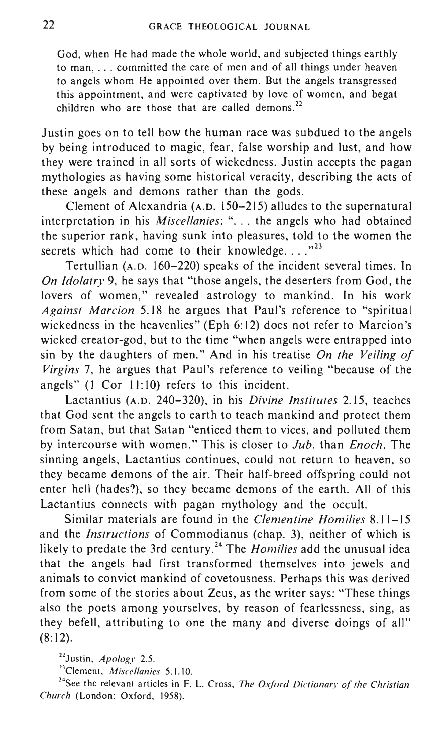God, when He had made the whole world, and subjected things earthly to man, ... committed the care of men and of all things under heaven to angels whom He appointed over them. But the angels transgressed this appointment, and were captivated by love of women, and begat children who are those that are called demons.<sup>22</sup>

Justin goes on to tell how the human race was subdued to the angels by being introduced to magic, fear, false worship and lust, and how they were trained in all sorts of wickedness. Justin accepts the pagan mythologies as having some historical veracity, describing the acts of these angels and demons rather than the gods.

Clement of Alexandria (A.D. 150-215) alludes to the supernatural interpretation in his *Miscellanies*: "... the angels who had obtained the superior rank, having sunk into pleasures, told to the women the secrets which had come to their knowledge.... $^{323}$ 

Tertullian (A.D. 160-220) speaks of the incident several times. In *On Idolatry* 9, he says that "those angels, the deserters from God, the lovers of women," revealed astrology to mankind. In his work *Against Marcion* 5.18 he argues that Paul's reference to "spiritual wickedness in the heavenlies" (Eph 6: 12) does not refer to Marcion's wicked creator-god, but to the time "when angels were entrapped into sin by the daughters of men." And in his treatise *On the Veiling of Virgins* 7, he argues that Paul's reference to veiling "because of the angels"  $(1$  Cor  $11:10$ ) refers to this incident.

Lactantius (A.D. 240-320), in his *Divine Institutes* 2.15, teaches that God sent the angels to earth to teach mankind and protect them from Satan, but that Satan "enticed them to vices, and polluted them by intercourse with women." This is closer to *Jub.* than *Enoch.* The sinning angels, Lactantius continues, could not return to heaven, so they became demons of the air. Their half-breed offspring could not enter hell (hades?), so they became demons of the earth. All of this Lactantius connects with pagan mythology and the occult.

Similar materials are found in the *Clementine Homilies 8.11-15*  and the *Instructions* of Commodianus (chap. 3), neither of which is likely to predate the 3rd century.24 The *Homilies* add the unusual idea that the angels had first transformed themselves into jewels and animals to convict mankind of covetousness. Perhaps this was derived from some of the stories about Zeus, as the writer says: "These things also the poets among yourselves, by reason of fearlessness, sing, as they befell, attributing to one the many and diverse doings of all"  $(8:12)$ .

22Justin, *Apology* 2.S.

23CIement, *Miscellanies* S. I. 10.

24See the relevant articles in F. L. Cross, *The Oxford Dictionary of the Christian Church* (London: Oxford, 1958).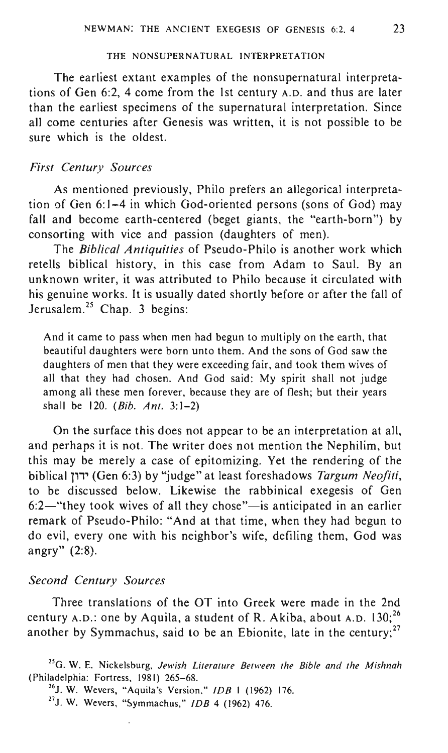# THE NONSUPERNATURAL INTERPRETATION

The earliest extant examples of the nonsupernatural interpretations of Gen 6:2, 4 come from the 1st century A.D. and thus are later than the earliest specimens of the supernatural interpretation. Since all come centuries after Genesis was written, it is not possible to be sure which is the oldest.

# *First Century Sources*

As mentioned previously, Philo prefers an allegorical interpretation of Gen 6:] -4 in which God-oriented persons (sons of God) may fall and become earth-centered (beget giants, the "earth-born") by consorting with vice and passion (daughters of men).

The *Biblical Antiquities* of Pseudo-Philo is another work which retells biblical history, in this case from Adam to Saul. By an unknown writer, it was attributed to Philo because it circulated with his genuine works. It is usually dated shortly before or after the fall of Jerusalem.<sup>25</sup> Chap. 3 begins:

And it came to pass when men had begun to multiply on the earth, that beautiful daughters were born unto them. And the sons of God saw the daughters of men that they were exceeding fair, and took them wives of all that they had chosen. And God said: My spirit shall not judge among all these men forever, because they are of flesh; but their years shall be 120. *(Bib. Ant. 3:1-2)* 

On the surface this does not appear to be an interpretation at all, and perhaps it is not. The writer does not mention the Nephilim, but this may be merely a case of epitomizing. Yet the rendering of the biblical 11" (Gen 6:3) by "judge" at least foreshadows *Targum Neo/iti,*  to be discussed below. Likewise the rabbinical exegesis of Gen  $6:2$ —"they took wives of all they chose"—is anticipated in an earlier remark of Pseudo-Philo: "And at that time, when they had begun to do evil, every one with his neighbor's wife, defiling them, God was angry" (2:8).

#### *Second Century Sources*

Three translations of the OT into Greek were made in the 2nd century A.D.: one by Aquila, a student of R. Akiba, about A.D.  $130$ ;<sup>26</sup> another by Symmachus, said to be an Ebionite, late in the century; $27$ 

<sup>27</sup>J. W. Wevers, "Symmachus," *IDB* 4 (1962) 476.

<sup>25</sup>G. W. E. Nickelsburg, *Jewish Literature Between the Bible and the Mishnah*  (Philadelphia: Fortress, 1981) 265-68.

<sup>26</sup>J. W. Weyers, "Aquila's Version," *IDB* I (1962) 176.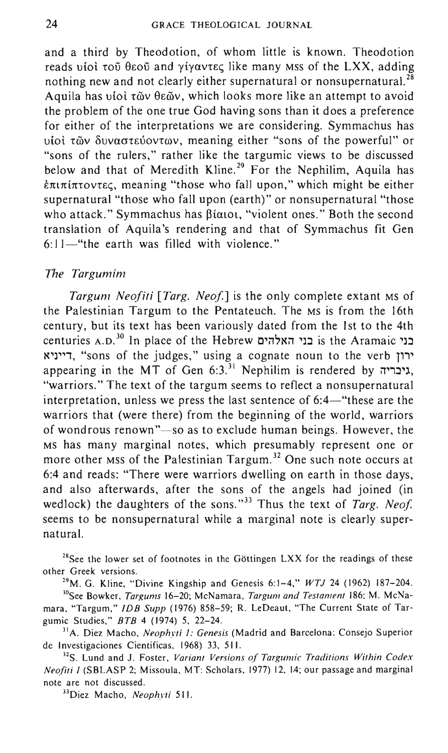and a third by Theodotion, of whom little is known. Theodotion reads vioi  $\tau$ ou  $\theta$ εου and γίγαντες like many Mss of the LXX, adding nothing new and not clearly either supernatural or nonsupernatural.  $^{28}$ Aquila has υίοι τῶν θεῶν, which looks more like an attempt to avoid the problem of the one true God having sons than it does a preference for either of the interpretations we are considering. Symmachus has υίοι των δυναστεύοντων, meaning either "sons of the powerful" or "sons of the rulers," rather like the targumic views to be discussed below and that of Meredith Kline.<sup>29</sup> For the Nephilim, Aquila has  $\epsilon \pi$ ιπίπτοντες, meaning "those who fall upon," which might be either supernatural "those who fall upon (earth)" or nonsupernatural "those who attack." Symmachus has  $\beta$ iatot, "violent ones." Both the second translation of Aquila's rendering and that of Symmachus fit Gen  $6: 11$ -"the earth was filled with violence."

#### *The Targumim*

*Targum Neofiti [Targ. Neof.]* is the only complete extant Ms of the Palestinian Targum to the Pentateuch. The MS is from the 16th century, but its text has been variously dated from the 1st to the 4th centuries A.D.<sup>30</sup> In place of the Hebrew בני האלהים is the Aramaic בני ~'J"', "sons of the judges," using a cognate noun to the verb T'" appearing in the MT of Gen  $6:3$ <sup>31</sup> Nephilim is rendered by  $\pi$ יבריה, "warriors." The text of the targum seems to reflect a nonsupernatural interpretation, unless we press the last sentence of  $6:4$ —"these are the warriors that (were there) from the beginning of the world, warriors of wondrous renown"-so as to exclude human beings. However, the MS has many marginal notes, which presumably represent one or more other MSS of the Palestinian Targum.<sup>32</sup> One such note occurs at 6:4 and reads: "There were warriors dwelling on earth in those days, and also afterwards, after the sons of the angels had joined (in wedlock) the daughters of the sons."<sup>33</sup> Thus the text of *Targ. Neof.* seems to be nonsupernatural while a marginal note is clearly supernatural.

<sup>28</sup>See the lower set of footnotes in the Göttingen LXX for the readings of these other Greek versions.

29M. G. Kline, "Divine Kingship and Genesis 6:1-4," *WTJ* 24 (1962) 187-204.

30See Bowker, *Targums* 16-20; McNamara, *Targum and Testament* 186; M. McNamara, "Targum," *IDB Supp* (1976) 858-59; R. LeDeaut, "The Current State of Targumic Studies," *BTB* 4 (1974) 5, 22-24.

31A. Diez Macho, *Neophyti i: Genesis* (Madrid and Barcelona: Consejo Superior de Investigaciones Científicas, 1968) 33, 511.

<sup>32</sup>S. Lund and J. Foster, *Variant Versions of Targumic Traditions Within Codex Neofiti I* (SBLASP 2; Missoula, MT: Scholars, 1977) 12, 14; our passage and marginal note are not discussed.

33Diez Macho, *Neophyti 511.*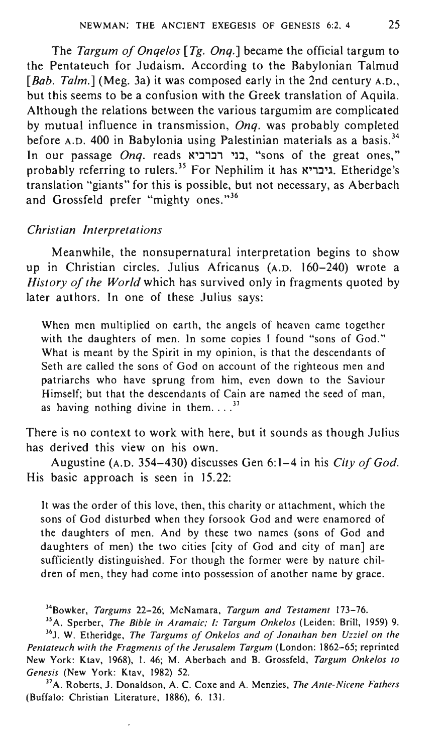The *Targum of Onqelos [Tg. Onq.]* became the official targum to the Pentateuch for Judaism. According to the Babylonian Talmud [Bab. Talm.] (Meg. 3a) it was composed early in the 2nd century A.D., but this seems to be a confusion with the Greek translation of Aquila. Although the relations between the various targumim are complicated by mutual influence in transmission, *Onq.* was probably completed before A.D. 400 in Babylonia using Palestinian materials as a basis.<sup>34</sup> In our passage *Onq*. reads בני רברביא, "sons of the great ones," probably referring to rulers.<sup>35</sup> For Nephilim it has xיבריא. Etheridge's translation "giants" for this is possible, but not necessary, as Aberbach and Grossfeld prefer "mighty ones."<sup>36</sup>

#### *Christian Interpretations*

Meanwhile, the nonsupernatural interpretation begins to show up in Christian circles. Julius Africanus (A.D. 160-240) wrote a *History of the World* which has survived only in fragments quoted by later authors. In one of these Julius says:

When men multiplied on earth, the angels of heaven came together with the daughters of men. In some copies I found "sons of God." What is meant by the Spirit in my opinion, is that the descendants of Seth are called the sons of God on account of the righteous men and patriarchs who have sprung from him, even down to the Saviour Himself; but that the descendants of Cain are named the seed of man, as having nothing divine in them... $^{37}$ 

There is no context to work with here, but it sounds as though Julius has derived this view on his own.

Augustine (A.D. 354-430) discusses Gen 6: 1-4 in his *City of God.*  His basic approach is seen in 15.22:

It was the order of this love, then, this charity or attachment, which the sons of God disturbed when they forsook God and were enamored of the daughters of men. And by these two names (sons of God and daughters of men) the two cities [city of God and city of man] are sufficiently distinguished. For though the former were by nature children of men, they had come into possession of another name by grace.

34Bowker, *Targums* 22-26; McNamara, *Targum and Testament 173-76.* 

35 A. Sperber, *The Bible in Aramaic; I: Targum Onkelos* (Leiden: Brill, 1959) 9. <sup>36</sup>J. W. Etheridge, *The Targums of Onkelos and of Jonathan ben Uzziel on the Pentateuch with the Fragments of the Jerusalem Targum* (London: 1862-65; reprinted New York: Ktav, 1968), I. 46; M. Aberbach and B. Grossfeld, *Targum Onkelos to Genesis* (New York: Ktav, 1982) 52.

37 A. Roberts, J. Donaldson, A. C. Coxe and A. Menzies, *The Anle-Nicene Fathers*  (Buffalo: Christian Literature, 1886), 6. 131.

,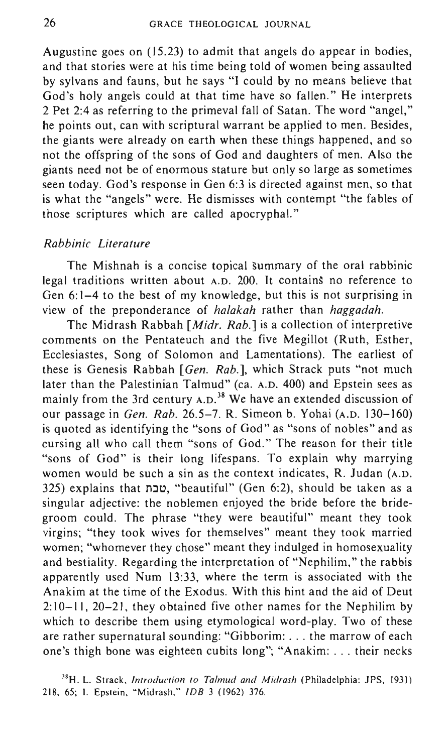Augustine goes on (15.23) to admit that angels do appear in bodies, and that stories were at his time being told of women being assaulted by sylvans and fauns, but he says "I could by no means believe that God's holy angels could at that time have so fallen." He interprets 2 Pet 2:4 as referring to the primeval fall of Satan. The word "angel," he points out, can with scriptural warrant be applied to men. Besides, the giants were already on earth when these things happened, and so not the offspring of the sons of God and daughters of men. Also the giants need not be of enormous stature but only so large as sometimes seen today. God's response in Gen 6:3 is directed against men, so that is what the "angels" were. He dismisses with contempt "the fables of those scriptures which are called apocryphal."

# *Rabbinic Literature*

The Mishnah is a concise topical summary of the oral rabbinic legal traditions written about A.D. 200. It contains no reference to Gen 6: 1-4 to the best of my knowledge, but this is not surprising in view of the preponderance of *halakah* rather than *haggadah.* 

The Midrash Rabbah *[Midr. Rab.]* is a collection of interpretive comments on the Pentateuch and the five Megillot (Ruth, Esther, Ecclesiastes, Song of Solomon and Lamentations). The earliest of these is Genesis Rabbah *[Gen. Rab.],* which Strack puts "not much later than the Palestinian Talmud" (ca. A.D. 400) and Epstein sees as mainly from the 3rd century A.D.<sup>38</sup> We have an extended discussion of our passage in *Gen. Rab.* 26.5-7. R. Simeon b. Yohai (A.D. 130-160) is quoted as identifying the "sons of God" as "sons of nobles" and as cursing all who call them "sons of God." The reason for their title "sons of God" is their long lifespans. To explain why marrying women would be such a sin as the context indicates, R. Judan (A.D. 325) explains that טבח, "beautiful" (Gen 6:2), should be taken as a singular adjective: the noblemen enjoyed the bride before the bridegroom could. The phrase "they were beautiful" meant they took virgins; "they took wives for themselves" meant they took married women; "whomever they chose" meant they indulged in homosexuality and bestiality. Regarding the interpretation of "Nephilim," the rabbis apparently used Num 13:33, where the term is associated with the Anakim at the time of the Exodus. With this hint and the aid of Deut 2:10-11,20-21, they obtained five other names for the Nephilim by which to describe them using etymological word-play. Two of these are rather supernatural sounding: "Gibborim: ... the marrow of each one's thigh bone was eighteen cubits long"; "Anakim: ... their necks

38H. L. Strack, *Introduction to Talmud and Midrash* (Philadelphia: JPS, 1931) 218, 65; I. Epstein, "Midrash," *IDB* 3 (1962) 376.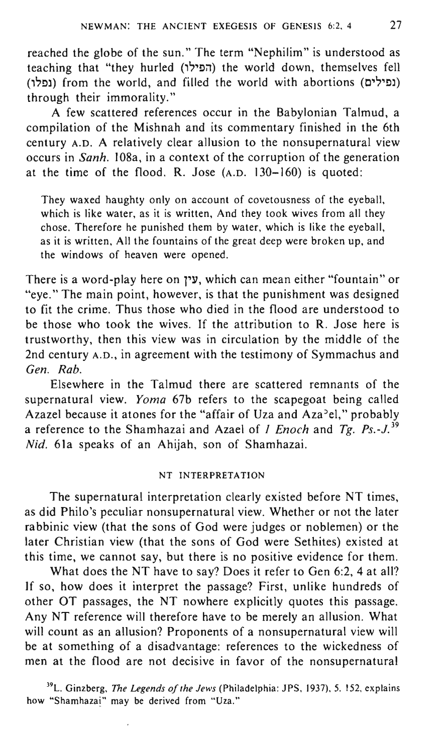reached the globe of the sun." The term "Nephilim" is understood as teaching that "they hurled (הפילו) the world down, themselves fell (נפלו) from the world, and filled the world with abortions (נפלו) through their immorality."

A few scattered references occur in the Babylonian Talmud, a compilation of the Mishnah and its commentary finished in the 6th century A.D. A relatively clear allusion to the nonsupernatural view occurs in *Sanh.* 108a, in a context of the corruption of the generation at the time of the flood. R. Jose (A.D. 130-160) is quoted:

They waxed haughty only on account of covetousness of the eyeball, which is like water, as it is written, And they took wives from all they chose. Therefore he punished them by water, which is like the eyeball, as it is written, All the fountains of the great deep were broken up, and the windows of heaven were opened.

There is a word-play here on 1"17, which can mean either "fountain" or "eye." The main point, however, is that the punishment was designed to fit the crime. Thus those who died in the flood are understood to be those who took the wives. If the attribution to R. Jose here is trustworthy, then this view was in circulation by the middle of the 2nd century A.D., in agreement with the testimony of Symmachus and *Gen. Rab.* 

Elsewhere in the Talmud there are scattered remnants of the supernatural view. *Yoma* 67b refers to the scapegoat being called Azazel because it atones for the "affair of Uza and Aza<sup>2</sup>el," probably a reference to the Shamhazai and Azael of 1 *Enoch* and *Tg. PS.\_J. <sup>39</sup>* Nid. 61a speaks of an Ahijah, son of Shamhazai.

# NT INTERPRETATION

The supernatural interpretation clearly existed before NT times, as did Philo's peculiar nonsupernatural view. Whether or not the later rabbinic view (that the sons of God were judges or noblemen) or the later Christian view (that the sons of God were Sethites) existed at this time, we cannot say, but there is no positive evidence for them.

What does the NT have to say? Does it refer to Gen 6:2, 4 at all? If so, how does it interpret the passage? First, unlike hundreds of other OT passages, the NT nowhere explicitly quotes this passage. Any NT reference will therefore have to be merely an allusion. What will count as an allusion? Proponents of a nonsupernatural view will be at something of a disadvantage: references to the wickedness of men at the flood are not decisive in favor of the nonsupernatural

39L. Ginzberg, *The Legends of the Jews* (Philadelphia: JPS, 1937), 5. 152, explains how "Shamhazai" may be derived from "Uza."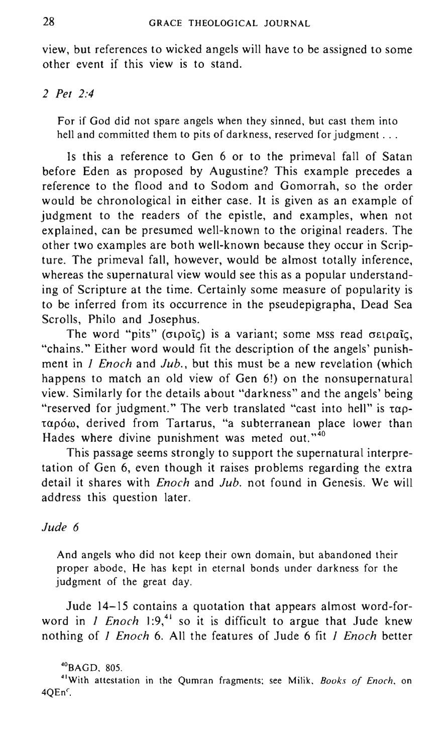view, but references to wicked angels will have to be assigned to some other event if this view is to stand.

*2 Pet 2:4* 

For if God did not spare angels when they sinned, but cast them into hell and committed them to pits of darkness, reserved for judgment ...

Is this a reference to Gen 6 or to the primeval fall of Satan before Eden as proposed by Augustine? This example precedes a reference to the flood and to Sodom and Gomorrah, so the order would be chronological in either case. It is given as an example of judgment to the readers of the epistle, and examples, when not explained, can be presumed well-known to the original readers. The other two examples are both well-known because they occur in Scripture. The primeval fall, however, would be almost totally inference, whereas the supernatural view would see this as a popular understanding of Scripture at the time. Certainly some measure of popularity is to be inferred from its occurrence in the pseudepigrapha, Dead Sea Scrolls, Philo and Josephus.

The word "pits" ( $\sigma$ ιροΐς) is a variant; some MSS read σειραΐς, "chains." Either word would fit the description of the angels' punishment in J *Enoch* and *Jub.,* but this must be a new revelation (which happens to match an old view of Gen 6!) on the nonsupernatural view. Similarly for the details about "darkness" and the angels' being "reserved for judgment." The verb translated "cast into hell" is  $\tau \alpha p$ ταρόω, derived from Tartarus, "a subterranean place lower than Hades where divine punishment was meted out." $40$ 

This passage seems strongly to support the supernatural interpretation of Gen 6, even though it raises problems regarding the extra detail it shares with *Enoch* and *Jub.* not found in Genesis. We will address this question later.

## *Jude 6*

And angels who did not keep their own domain, but abandoned their proper abode, He has kept in eternal bonds under darkness for the judgment of the great day.

Jude 14-15 contains a quotation that appears almost word-forword in *I Enoch*  $1:9,41$  so it is difficult to argue that Jude knew nothing of J *Enoch* 6. All the features of Jude 6 fit J *Enoch* better

#### $^{40}$ BAGD, 805.

<sup>41</sup> With attestation in the Qumran fragments; see Milik, *Books of Enoch,* on  $4QEn<sup>c</sup>$ .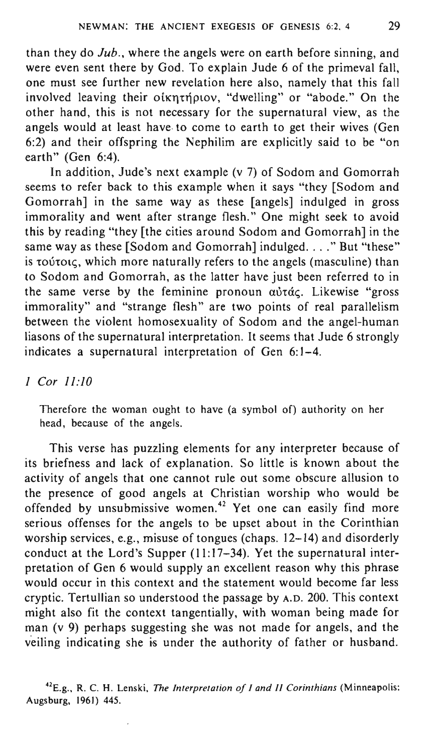than they do *Jub.,* where the angels were on earth before sinning, and were even sent there by God. To explain Jude 6 of the primeval fall, one must see further new revelation here also, namely that this fall involved leaving their oikntriplov, "dwelling" or "abode." On the other hand, this is not necessary for the supernatural view, as the angels would at least have· to come to earth to get their wives (Gen 6:2) and their offspring the Nephilim are explicitly said to be "on earth" (Gen 6:4).

In addition, Jude's next example (v 7) of Sodom and Gomorrah seems to refer back to this example when it says "they [Sodom and Gomorrah] in the same way as these [angels] indulged in gross immorality and went after strange flesh." One might seek to avoid this by reading "they [the cities around Sodom and Gomorrah] in the same way as these [Sodom and Gomorrah] indulged. . . ." But "these" is *toútoic*, which more naturally refers to the angels (masculine) than to Sodom and Gomorrah, as the latter have just been referred to in the same verse by the feminine pronoun  $a\dot{v}t\dot{a}\zeta$ . Likewise "gross immorality" and "strange flesh" are two points of real parallelism between the violent homosexuality of Sodom and the angel-human liasons of the supernatural interpretation. It seems that Jude 6 strongly indicates a supernatural interpretation of Gen 6:1-4.

# *1 Cor 11:10*

Therefore the woman ought to have (a symbol of) authority on her head, because of the angels.

This verse has puzzling elements for any interpreter because of its briefness and lack of explanation. So little is known about the activity of angels that one cannot rule out some obscure allusion to the presence of good angels at Christian worship who would be offended by unsubmissive women.<sup>42</sup> Yet one can easily find more serious offenses for the angels to be upset about in the Corinthian worship services, e.g., misuse of tongues (chaps. 12-14) and disorderly conduct at the Lord's Supper (11:17-34). Yet the supernatural interpretation of Gen 6 would supply an excellent reason why this phrase would occur in this context and the statement would become far less cryptic. Tertullian so understood the passage by A.D. 200. This context might also fit the context tangentially, with woman being made for man (v 9) perhaps suggesting she was not made for angels, and the veiling indicating she is under the authority of father or husband.

<sup>42</sup>E.g., R. C. H. Lenski, *The Interpretation of I and* 1/ *Corinthians* (Minneapolis: Augsburg, 1961) 445.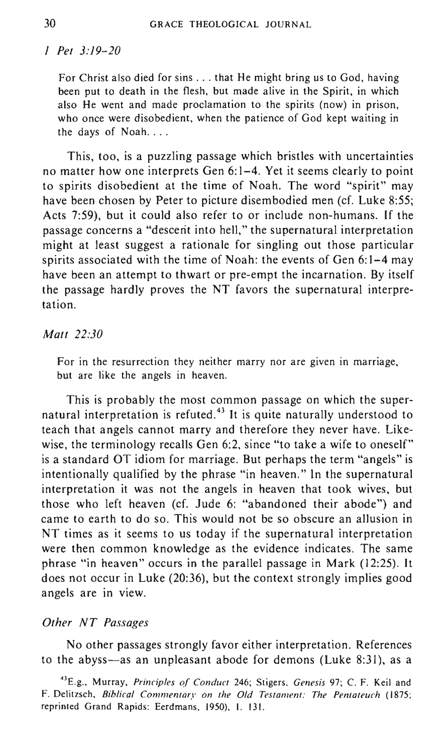## *1 Pet 3:19-20*

For Christ also died for sins ... that He might bring us to God, having been put to death in the flesh, but made alive in the Spirit, in which also He went and made proclamation to the spirits (now) in prison, who once were disobedient, when the patience of God kept waiting in the days of Noah....

This, too, is a puzzling passage which bristles with uncertainties no matter how one interprets Gen 6: 1-4. Yet it seems clearly to point to spirits disobedient at the time of Noah. The word "spirit" may have been chosen by Peter to picture disembodied men (cf. Luke 8:55; Acts 7:59), but it could also refer to or include non-humans. If the passage concerns a "descerit into hell," the supernatural interpretation might at least suggest a rationale for singling out those particular spirits associated with the time of Noah: the events of Gen 6:1-4 may have been an attempt to thwart or pre-empt the incarnation. By itself the passage hardly proves the NT favors the supernatural interpretation.

## *Matt 22:30*

For in the resurrection they neither marry nor are given in marriage, but are like the angels in heaven.

This is probably the most common passage on which the supernatural interpretation is refuted.<sup>43</sup> It is quite naturally understood to teach that angels cannot marry and therefore they never have. Likewise, the terminology recalls Gen 6:2, since "to take a wife to oneself" is a standard OT idiom for marriage. But perhaps the term "angels" is intentionally qualified by the phrase "in heaven." In the supernatural interpretation it was not the angels in heaven that took wives, but those who left heaven (cf. Jude 6: "abandoned their abode") and came to earth to do so. This would not be so obscure an allusion in NT times as it seems to us today if the supernatural interpretation were then common knowledge as the evidence indicates. The same phrase "in heaven" occurs in the parallel passage in Mark (12:25). It does not occur in Luke (20:36), but the context strongly implies good angels are in view.

#### *Other NT Passages*

No other passages strongly favor either interpretation. References to the abyss-as an unpleasant abode for demons (Luke 8:31), as a

<sup>43</sup>E.g., Murray, *Principles of Conduct* 246; Stigers, *Genesis* 97; C. F. Keil and F. Delitzsch. *Biblical Commentary on the Old Testament: The Pentateuch (1875;*  reprinted Grand Rapids: Eerdmans. 1950). I. 131.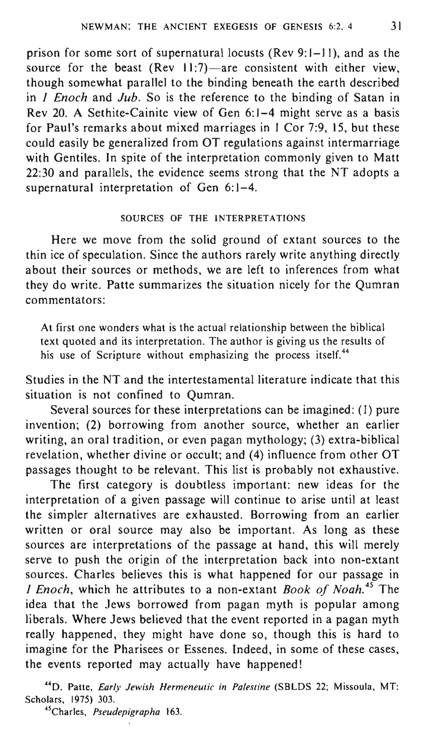prison for some sort of supernatural locusts (Rev 9: 1-11), and as the source for the beast (Rev  $11:7$ )-are consistent with either view, though somewhat parallel to the binding beneath the earth described in *1 Enoch* and *Jub.* So is the reference to the binding of Satan in Rev 20. A Sethite-Cainite view of Gen 6: 1-4 might serve as a basis for Paul's remarks about mixed marriages in I Cor 7:9, 15, but these could easily be generalized from OT regulations against intermarriage with Gentiles. In spite of the interpretation commonly given to Matt 22:30 and parallels, the evidence seems strong that the NT adopts a supernatural interpretation of Gen 6:1-4.

# SOURCES OF THE INTERPRETATIONS

Here we move from the solid ground of extant sources to the thin ice of speculation. Since the authors rarely write anything directly about their sources or methods, we are left to inferences from what they do write. Patte summarizes the situation nicely for the Qumran commentators:

At first one wonders what is the actual relationship between the biblical text quoted and its interpretation. The author is giving us the results of his use of Scripture without emphasizing the process itself.<sup>44</sup>

Studies in the NT and the intertestamental literature indicate that this situation is not confined to Qumran.

Several sources for these interpretations can be imagined: (I) pure invention; (2) borrowing from another source, whether an earlier writing, an oral tradition, or even pagan mythology; (3) extra-biblical revelation, whether divine or occult; and (4) influence from other OT passages thought to be relevant. This list is probably not exhaustive.

The first category is doubtless important: new ideas for the interpretation of a given passage will continue to arise until at least the simpler alternatives are exhausted. Borrowing from an earlier written or oral source may also be important. As long as these sources are interpretations of the passage at hand, this will merely serve to push the origin of the interpretation back into non-extant sources. Charles believes this is what happened for our passage in *1 Enoch,* which he attributes to a non-extant *Book of Noah.* 45 The idea that the Jews borrowed from pagan myth is popular among liberals. Where Jews believed that the event reported in a pagan myth really happened, they might have done so, though this is hard to imagine for the Pharisees or Essenes. Indeed, in some of these cases, the events reported may actually have happened!

440. Patte, *Early Jewish Hermeneutic in Palestine* (SBLOS 22; Missoula, MT: Scholars, 1975) 303.

<sup>45</sup>Charles, *Pseudepigrapha* 163.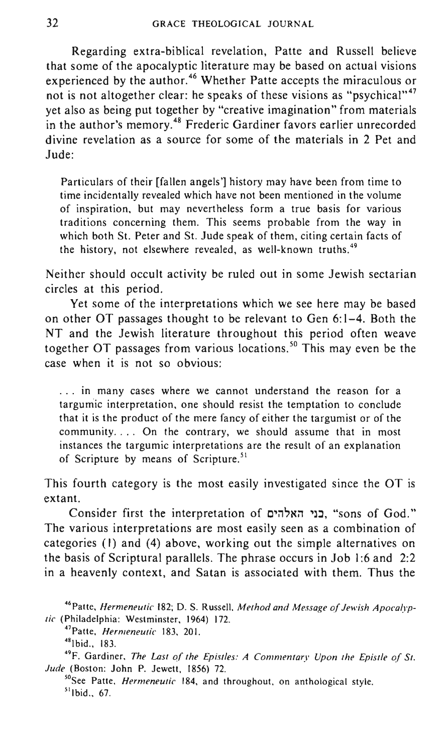Regarding extra-biblical revelation, Patte and Russell believe that some of the apocalyptic literature may be based on actual visions experienced by the author.<sup>46</sup> Whether Patte accepts the miraculous or not is not altogether clear: he speaks of these visions as "psychical"<sup>47</sup> yet also as being put together by "creative imagination" from materials in the author's memory.<sup>48</sup> Frederic Gardiner favors earlier unrecorded divine revelation as a source for some of the materials in 2 Pet and Jude:

Particulars of their [fallen angels'] history may have been from time to time incidentally revealed which have not been mentioned in the volume of inspiration, but may nevertheless form a true basis for various traditions concerning them. This seems probable from the way in which both St. Peter and St. Jude speak of them, citing certain facts of the history, not elsewhere revealed, as well-known truths.<sup>49</sup>

Neither should occult activity be ruled out in some Jewish sectarian circles at this period.

Yet some of the interpretations which we see here may be based on other OT passages thought to be relevant to Gen 6: 1-4. Both the NT and the Jewish literature throughout this period often weave together OT passages from various locations.<sup>50</sup> This may even be the case when it is not so obvious:

. .. in many cases where we cannot understand the reason for a targumic interpretation, one should resist the temptation to conclude that it is the product of the mere fancy of either the targumist or of the community.... On the contrary, we should assume that in most instances the targumic interpretations are the result of an explanation of Scripture by means of Scripture.<sup>51</sup>

This fourth category is the most easily investigated since the OT is extant.

Consider first the interpretation of בני האלהים, "sons of God." The various interpretations are most easily seen as a combination of categories (I) and (4) above, working out the simple alternatives on the basis of Scriptural parallels. The phrase occurs in Job 1:6 and 2:2 in a heavenly context, and Satan is associated with them. Thus the

46Patte, *Hermeneutic* 182; D. S. Russell, *Method and Message of Jewish Apocalyptic* (Philadelphia: Westminster, 1964) 172.

<sup>47</sup> Patte, *Hermeneutic* 183, 20 I.

<sup>48</sup> I bid., 183.

49F. Gardiner, *The Last of the Epistles: A Commentary Upon the Epistle of St. Jude* (Boston: John P. Jewett, 1856) 72.

50See Patte, *Hermeneutic* 184, and throughout, on anthological style.  $<sup>51</sup>$ Ibid., 67.</sup>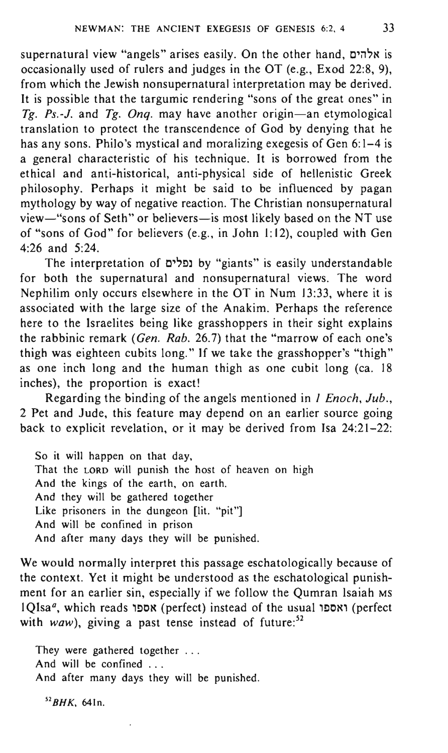supernatural view "angels" arises easily. On the other hand, אלהים occasionally used of rulers and judges in the OT (e.g., Exod 22:8, 9), from which the Jewish nonsupernatural interpretation may be derived. It is possible that the targumic rendering "sons of the great ones" in *Tg. Ps.-J.* and *Tg. Onq.* may have another origin-an etymological translation to protect the transcendence of God by denying that he has any sons. Philo's mystical and moralizing exegesis of Gen 6:1-4 is a general characteristic of his technique. It is borrowed from the ethical and anti-historical, anti-physical side of hellenistic Greek philosophy. Perhaps it might be said to be influenced by pagan mythology by way of negative reaction. The Christian nonsupernatural view-"sons of Seth" or believers-is most likely based on the NT use of "sons of God" for believers (e.g., in John 1:12), coupled with Gen 4:26 and 5:24.

The interpretation of נפלים by "giants" is easily understandable for both the supernatural and nonsupernatural views. The word Nephilim only occurs elsewhere in the OT in Num 13:33, where it is associated with the large size of the Anakim. Perhaps the reference here to the Israelites being like grasshoppers in their sight explains the rabbinic remark (Gen. Rab. 26.7) that the "marrow of each one's thigh was eighteen cubits long." If we take the grasshopper's "thigh" as one inch long and the human thigh as one cubit long (ca. 18 inches), the proportion is exact!

Regarding the binding of the angels mentioned in *1 Enoch, Jub.,*  2 Pet and Jude, this feature may depend on an earlier source going back to explicit revelation, or it may be derived from Isa 24:21-22:

So it will happen on that day, That the LORD will punish the host of heaven on high And the kings of the earth, on earth. And they will be gathered together Like prisoners in the dungeon [lit. "pit"] And will be confined in prison And after many days they will be punished.

We would normally interpret this passage eschatologically because of the context. Yet it might be understood as the eschatological punishment for an earlier sin, especially if we follow the Qumran Isaiah MS 1QIsa<sup>a</sup>, which reads אספו (perfect) instead of the usual ואספו (perfect with waw), giving a past tense instead of future: $52$ 

They were gathered together ... And will be confined ... And after many days they will be punished.

*52BHK.* 64In.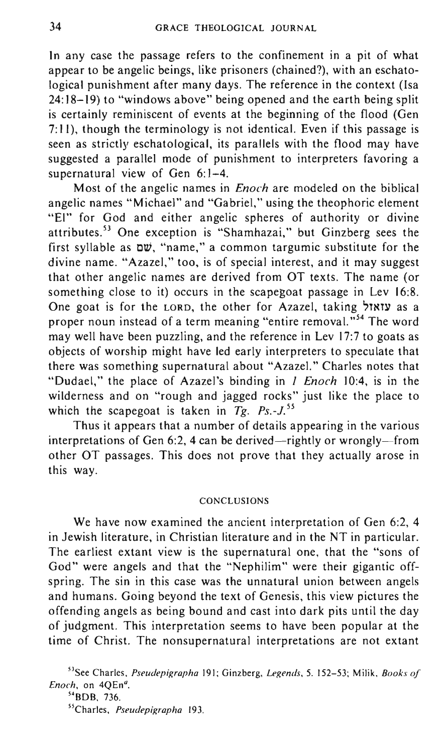In any case the passage refers to the confinement in a pit of what appear to be angelic beings, like prisoners (chained?), with an eschatological punishment after many days. The reference in the context (Isa 24:18-19) to "windows above" being opened and the earth being split is certainly reminiscent of events at the beginning of the flood (Gen 7: II), though the terminology is not identical. Even if this passage is seen as strictly eschatological, its parallels with the flood may have suggested a parallel mode of punishment to interpreters favoring a supernatural view of Gen  $6:1-4$ .

Most of the angelic names in *Enoch* are modeled on the biblical angelic names "Michael" and "Gabriel," using the theophoric element "EI" for God and either angelic spheres of authority or divine attributes. 53 One exception is "Shamhazai," but Ginzberg sees the first syllable as ow, "name," a common targumic substitute for the divine name. "Azazel," too, is of special interest, and it may suggest that other angelic names are derived from OT texts. The name (or something close to it) occurs in the scapegoat passage in Lev 16:8. One goat is for the LORD, the other for Azazel, taking עזאזל proper noun instead of a term meaning "entire removal."<sup>54</sup> The word may well have been puzzling, and the reference in Lev 17:7 to goats as objects of worship might have led early interpreters to speculate that there was something supernatural about "Azazel." Charles notes that "Dudael," the place of Azazel's binding in J *Enoch* 10:4, is in the wilderness and on "rough and jagged rocks" just like the place to which the scapegoat is taken in  $Tg$ .  $Ps.-J.^{55}$ 

Thus it appears that a number of details appearing in the various interpretations of Gen 6:2, 4 can be derived—rightly or wrongly—from other OT passages. This does not prove that they actually arose in this way.

#### CONCLUSIONS

We have now examined the ancient interpretation of Gen 6:2, 4 in Jewish literature, in Christian literature and in the NT in particular. The earliest extant view is the supernatural one, that the "sons of God" were angels and that the "Nephilim" were their gigantic offspring. The sin in this case was the unnatural union between angels and humans. Going beyond the text of Genesis, this view pictures the offending angels as being bound and cast into dark pits until the day of judgment. This interpretation seems to have been popular at the time of Christ. The nonsupernatural interpretations are not extant

55Charles, *Pseudepigrapha 193.* 

<sup>53</sup>See Charles, *Pseudepigrapha* 191; Ginzberg, *Legends,* 5. 152-53; Milik, *Books of*  Enoch, on 4QEn<sup>a</sup>.

<sup>54</sup>8D8, 736.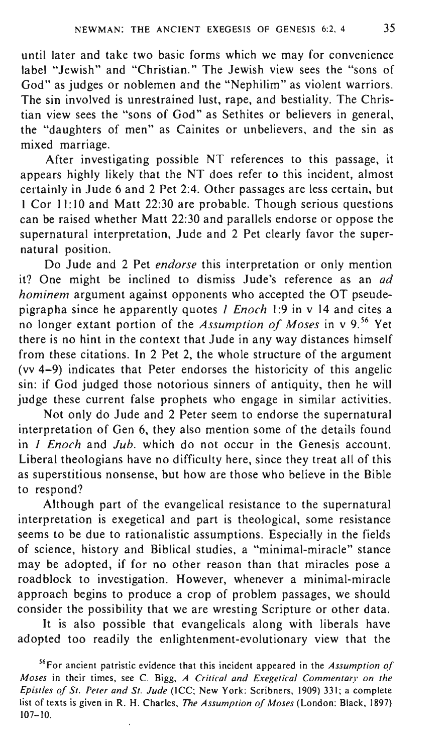until later and take two basic forms which we may for convenience label "Jewish" and "Christian." The Jewish view sees the "sons of God" as judges or noblemen and the "Nephilim" as violent warriors. The sin involved is unrestrained lust, rape, and bestiality. The Christian view sees the "sons of God" as Sethites or believers in general, the "daughters of men" as Cainites or unbelievers, and the sin as mixed marriage.

After investigating possible NT references to this passage, it appears highly likely that the NT does refer to this incident, almost certainly in Jude 6 and 2 Pet 2:4. Other passages are less certain, but I Cor II: 10 and Matt 22:30 are probable. Though serious questions can be raised whether Matt 22:30 and parallels endorse or oppose the supernatural interpretation, Jude and 2 Pet clearly favor the supernatural position.

Do Jude and 2 Pet *endorse* this interpretation or only mention it? One might be inclined to dismiss Jude's reference as an *ad hominem* argument against opponents who accepted the OT pseudepigrapha since he apparently quotes *1 Enoch* 1:9 in v 14 and cites a no longer extant portion of the *Assumption of Moses* in v 9. 56 Yet there is no hint in the context that Jude in any way distances himself from these citations. In 2 Pet 2, the whole structure of the argument (vv 4-9) indicates that Peter endorses the historicity of this angelic sin: if God judged those notorious sinners of antiquity, then he will judge these current false prophets who engage in similar activities.

Not only do Jude and 2 Peter seem to endorse the supernatural interpretation of Gen 6, they also mention some of the details found in 1 *Enoch* and *Juh.* which do not occur in the Genesis account. Liberal theologians have no difficulty here, since they treat all of this as superstitious nonsense, but how are those who believe in the Bible to respond?

Although part of the evangelical resistance to the supernatural interpretation is exegetical and part is theological, some resistance seems to be due to rationalistic assumptions. Especially in the fields of science, history and Biblical studies, a "minimal-miracle" stance may be adopted, if for no other reason than that miracles pose a roadblock to investigation. However, whenever a minimal-miracle approach begins to produce a crop of problem passages, we should consider the possibility that we are wresting Scripture or other data.

It is also possible that evangelicals along with liberals have adopted too readily the enlightenment-evolutionary view that the

<sup>56</sup>For ancient patristic evidence that this incident appeared in the *Assumption oj Moses* in their times, see C. Bigg, *A Critical and Exegetical Commentary on the Epistles oj St. Peter and St. Jude* (ICC; New York: Scribners, 1909) 331; a complete list of texts is given in R. H. Charles, *The Assumption oj Moses* (London: Black, 1897)  $107 - 10.$